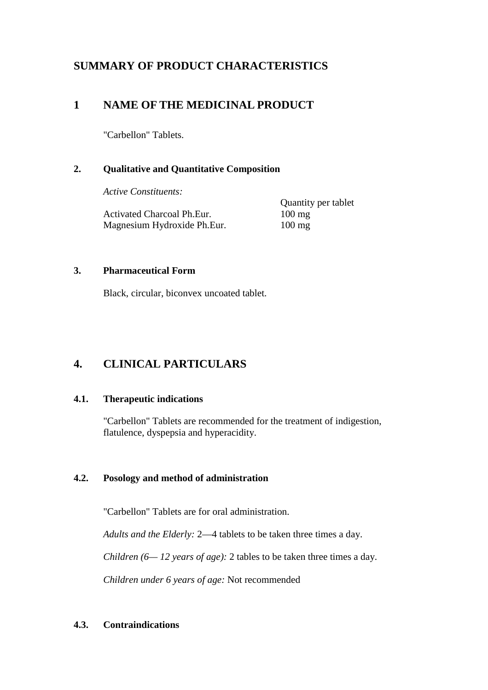# **SUMMARY OF PRODUCT CHARACTERISTICS**

# **1 NAME OF THE MEDICINAL PRODUCT**

"Carbellon" Tablets.

## **2. Qualitative and Quantitative Composition**

*Active Constituents:* 

Activated Charcoal Ph.Eur. 100 mg Magnesium Hydroxide Ph.Eur. 100 mg

Quantity per tablet

## **3. Pharmaceutical Form**

Black, circular, biconvex uncoated tablet.

# **4. CLINICAL PARTICULARS**

### **4.1. Therapeutic indications**

"Carbellon" Tablets are recommended for the treatment of indigestion, flatulence, dyspepsia and hyperacidity.

## **4.2. Posology and method of administration**

"Carbellon" Tablets are for oral administration.

*Adults and the Elderly:* 2—4 tablets to be taken three times a day.

*Children (6— 12 years of age):* 2 tables to be taken three times a day.

*Children under 6 years of age:* Not recommended

## **4.3. Contraindications**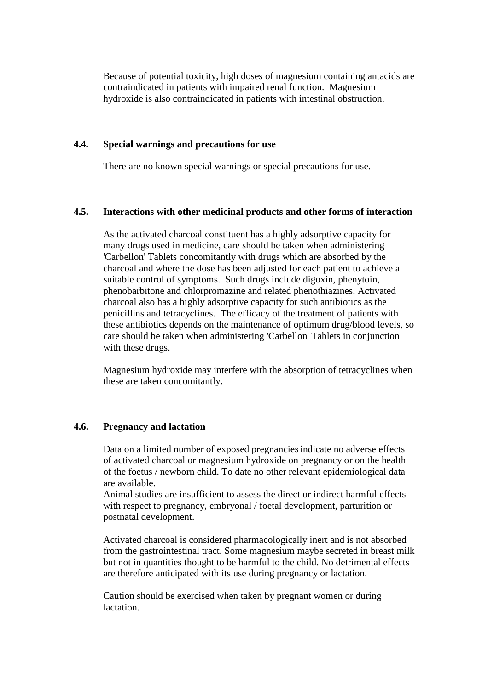Because of potential toxicity, high doses of magnesium containing antacids are contraindicated in patients with impaired renal function. Magnesium hydroxide is also contraindicated in patients with intestinal obstruction.

#### **4.4. Special warnings and precautions for use**

There are no known special warnings or special precautions for use.

#### **4.5. Interactions with other medicinal products and other forms of interaction**

As the activated charcoal constituent has a highly adsorptive capacity for many drugs used in medicine, care should be taken when administering 'Carbellon' Tablets concomitantly with drugs which are absorbed by the charcoal and where the dose has been adjusted for each patient to achieve a suitable control of symptoms. Such drugs include digoxin, phenytoin, phenobarbitone and chlorpromazine and related phenothiazines. Activated charcoal also has a highly adsorptive capacity for such antibiotics as the penicillins and tetracyclines. The efficacy of the treatment of patients with these antibiotics depends on the maintenance of optimum drug/blood levels, so care should be taken when administering 'Carbellon' Tablets in conjunction with these drugs.

Magnesium hydroxide may interfere with the absorption of tetracyclines when these are taken concomitantly.

#### **4.6. Pregnancy and lactation**

Data on a limited number of exposed pregnanciesindicate no adverse effects of activated charcoal or magnesium hydroxide on pregnancy or on the health of the foetus / newborn child. To date no other relevant epidemiological data are available.

Animal studies are insufficient to assess the direct or indirect harmful effects with respect to pregnancy, embryonal / foetal development, parturition or postnatal development.

Activated charcoal is considered pharmacologically inert and is not absorbed from the gastrointestinal tract. Some magnesium maybe secreted in breast milk but not in quantities thought to be harmful to the child. No detrimental effects are therefore anticipated with its use during pregnancy or lactation.

Caution should be exercised when taken by pregnant women or during lactation.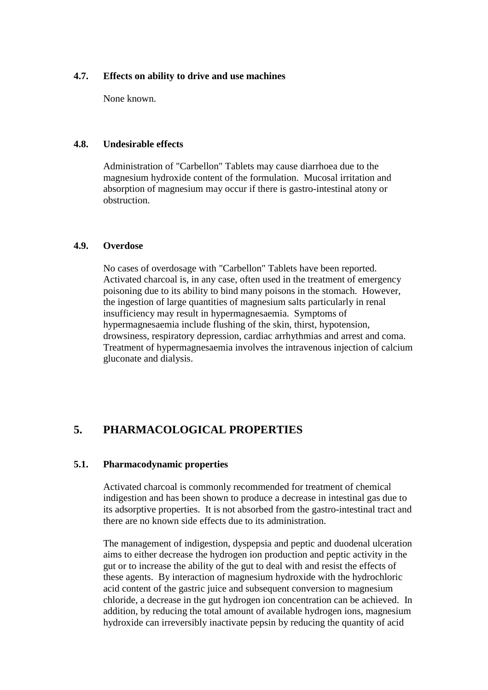#### **4.7. Effects on ability to drive and use machines**

None known.

#### **4.8. Undesirable effects**

Administration of "Carbellon" Tablets may cause diarrhoea due to the magnesium hydroxide content of the formulation. Mucosal irritation and absorption of magnesium may occur if there is gastro-intestinal atony or obstruction.

#### **4.9. Overdose**

No cases of overdosage with "Carbellon" Tablets have been reported. Activated charcoal is, in any case, often used in the treatment of emergency poisoning due to its ability to bind many poisons in the stomach. However, the ingestion of large quantities of magnesium salts particularly in renal insufficiency may result in hypermagnesaemia. Symptoms of hypermagnesaemia include flushing of the skin, thirst, hypotension, drowsiness, respiratory depression, cardiac arrhythmias and arrest and coma. Treatment of hypermagnesaemia involves the intravenous injection of calcium gluconate and dialysis.

# **5. PHARMACOLOGICAL PROPERTIES**

#### **5.1. Pharmacodynamic properties**

Activated charcoal is commonly recommended for treatment of chemical indigestion and has been shown to produce a decrease in intestinal gas due to its adsorptive properties. It is not absorbed from the gastro-intestinal tract and there are no known side effects due to its administration.

The management of indigestion, dyspepsia and peptic and duodenal ulceration aims to either decrease the hydrogen ion production and peptic activity in the gut or to increase the ability of the gut to deal with and resist the effects of these agents. By interaction of magnesium hydroxide with the hydrochloric acid content of the gastric juice and subsequent conversion to magnesium chloride, a decrease in the gut hydrogen ion concentration can be achieved. In addition, by reducing the total amount of available hydrogen ions, magnesium hydroxide can irreversibly inactivate pepsin by reducing the quantity of acid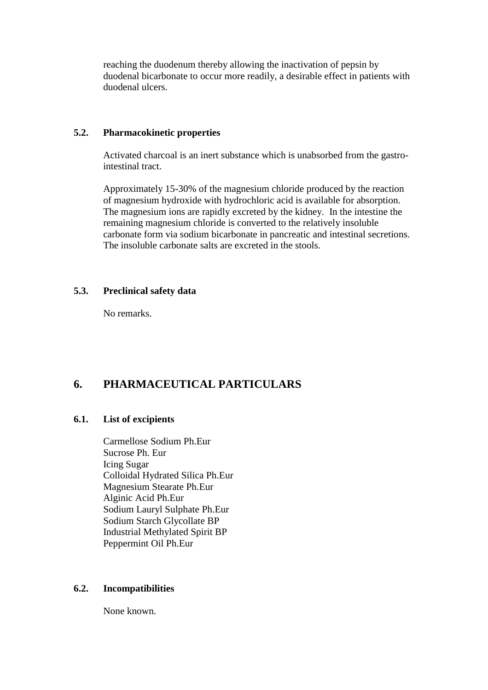reaching the duodenum thereby allowing the inactivation of pepsin by duodenal bicarbonate to occur more readily, a desirable effect in patients with duodenal ulcers.

#### **5.2. Pharmacokinetic properties**

Activated charcoal is an inert substance which is unabsorbed from the gastrointestinal tract.

Approximately 15-30% of the magnesium chloride produced by the reaction of magnesium hydroxide with hydrochloric acid is available for absorption. The magnesium ions are rapidly excreted by the kidney. In the intestine the remaining magnesium chloride is converted to the relatively insoluble carbonate form via sodium bicarbonate in pancreatic and intestinal secretions. The insoluble carbonate salts are excreted in the stools.

### **5.3. Preclinical safety data**

No remarks.

# **6. PHARMACEUTICAL PARTICULARS**

### **6.1. List of excipients**

Carmellose Sodium Ph.Eur Sucrose Ph. Eur Icing Sugar Colloidal Hydrated Silica Ph.Eur Magnesium Stearate Ph.Eur Alginic Acid Ph.Eur Sodium Lauryl Sulphate Ph.Eur Sodium Starch Glycollate BP Industrial Methylated Spirit BP Peppermint Oil Ph.Eur

### **6.2. Incompatibilities**

None known.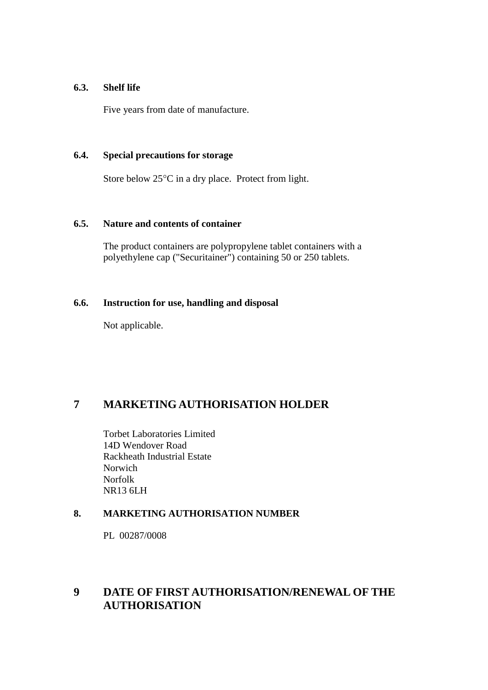### **6.3. Shelf life**

Five years from date of manufacture.

#### **6.4. Special precautions for storage**

Store below 25°C in a dry place. Protect from light.

#### **6.5. Nature and contents of container**

The product containers are polypropylene tablet containers with a polyethylene cap ("Securitainer") containing 50 or 250 tablets.

### **6.6. Instruction for use, handling and disposal**

Not applicable.

# **7 MARKETING AUTHORISATION HOLDER**

Torbet Laboratories Limited 14D Wendover Road Rackheath Industrial Estate Norwich Norfolk NR13 6LH

### **8. MARKETING AUTHORISATION NUMBER**

PL 00287/0008

# **9 DATE OF FIRST AUTHORISATION/RENEWAL OF THE AUTHORISATION**